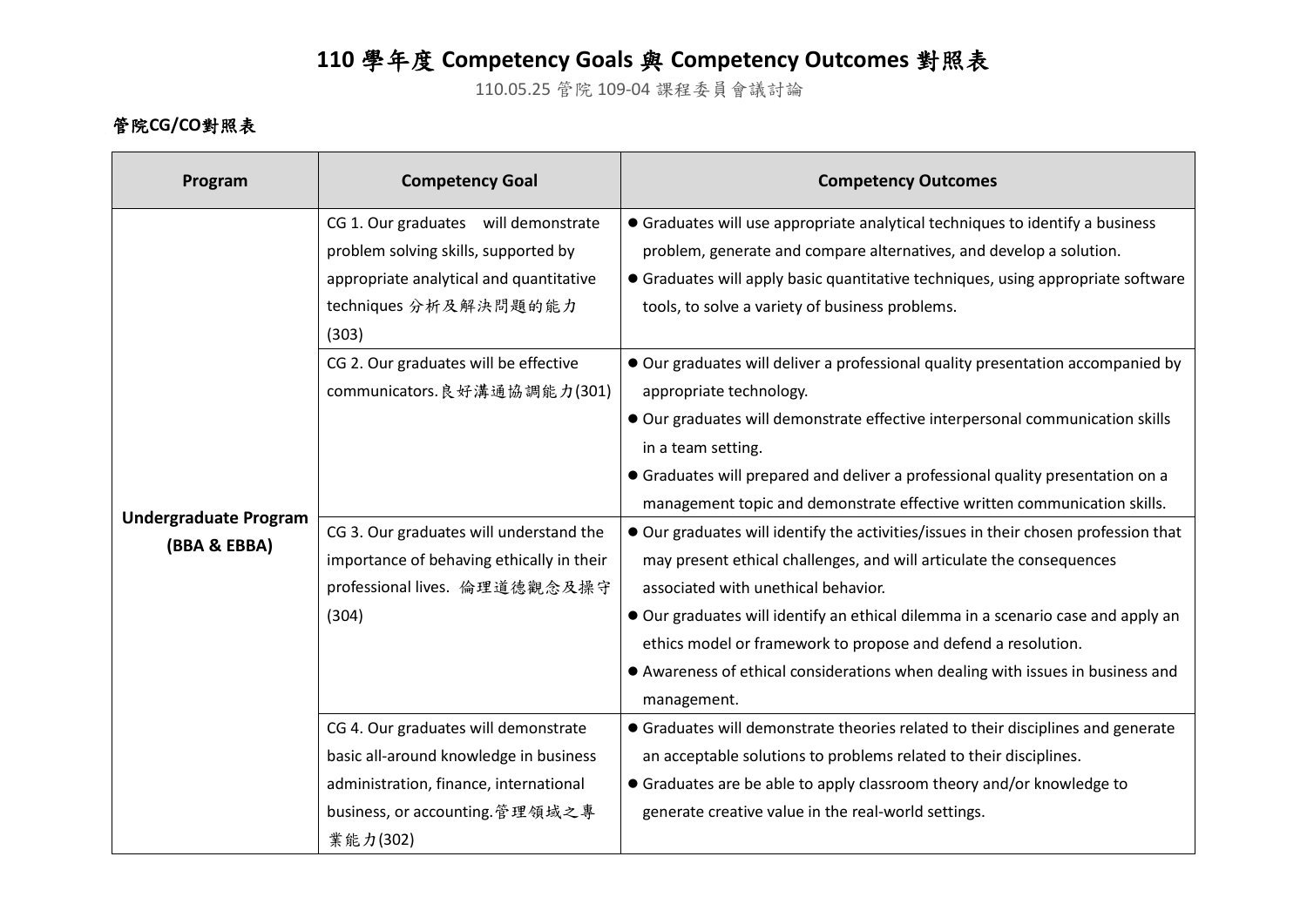## **110** 學年度 **Competency Goals** 與 **Competency Outcomes** 對照表

110.05.25 管院 109-04 課程委員會議討論

## 管院**CG/CO**對照表

| Program                                      | <b>Competency Goal</b>                                                                                                                                                                                                                                                                                                     | <b>Competency Outcomes</b>                                                                                                                                                                                                                                                                                                                                                                                                                                                                                                                                                                                                                                                                                                                                                                                                              |
|----------------------------------------------|----------------------------------------------------------------------------------------------------------------------------------------------------------------------------------------------------------------------------------------------------------------------------------------------------------------------------|-----------------------------------------------------------------------------------------------------------------------------------------------------------------------------------------------------------------------------------------------------------------------------------------------------------------------------------------------------------------------------------------------------------------------------------------------------------------------------------------------------------------------------------------------------------------------------------------------------------------------------------------------------------------------------------------------------------------------------------------------------------------------------------------------------------------------------------------|
| <b>Undergraduate Program</b><br>(BBA & EBBA) | CG 1. Our graduates will demonstrate<br>problem solving skills, supported by<br>appropriate analytical and quantitative<br>techniques 分析及解決問題的能力<br>(303)<br>CG 2. Our graduates will be effective<br>communicators. 良好溝通協調能力(301)<br>CG 3. Our graduates will understand the<br>importance of behaving ethically in their | • Graduates will use appropriate analytical techniques to identify a business<br>problem, generate and compare alternatives, and develop a solution.<br>• Graduates will apply basic quantitative techniques, using appropriate software<br>tools, to solve a variety of business problems.<br>Our graduates will deliver a professional quality presentation accompanied by<br>appropriate technology.<br>Our graduates will demonstrate effective interpersonal communication skills<br>in a team setting.<br>• Graduates will prepared and deliver a professional quality presentation on a<br>management topic and demonstrate effective written communication skills.<br>Our graduates will identify the activities/issues in their chosen profession that<br>may present ethical challenges, and will articulate the consequences |
|                                              | professional lives. 倫理道德觀念及操守<br>(304)                                                                                                                                                                                                                                                                                     | associated with unethical behavior.<br>Our graduates will identify an ethical dilemma in a scenario case and apply an<br>ethics model or framework to propose and defend a resolution.<br>• Awareness of ethical considerations when dealing with issues in business and<br>management.                                                                                                                                                                                                                                                                                                                                                                                                                                                                                                                                                 |
|                                              | CG 4. Our graduates will demonstrate<br>basic all-around knowledge in business<br>administration, finance, international<br>business, or accounting.管理領域之專<br>業能力(302)                                                                                                                                                     | • Graduates will demonstrate theories related to their disciplines and generate<br>an acceptable solutions to problems related to their disciplines.<br>• Graduates are be able to apply classroom theory and/or knowledge to<br>generate creative value in the real-world settings.                                                                                                                                                                                                                                                                                                                                                                                                                                                                                                                                                    |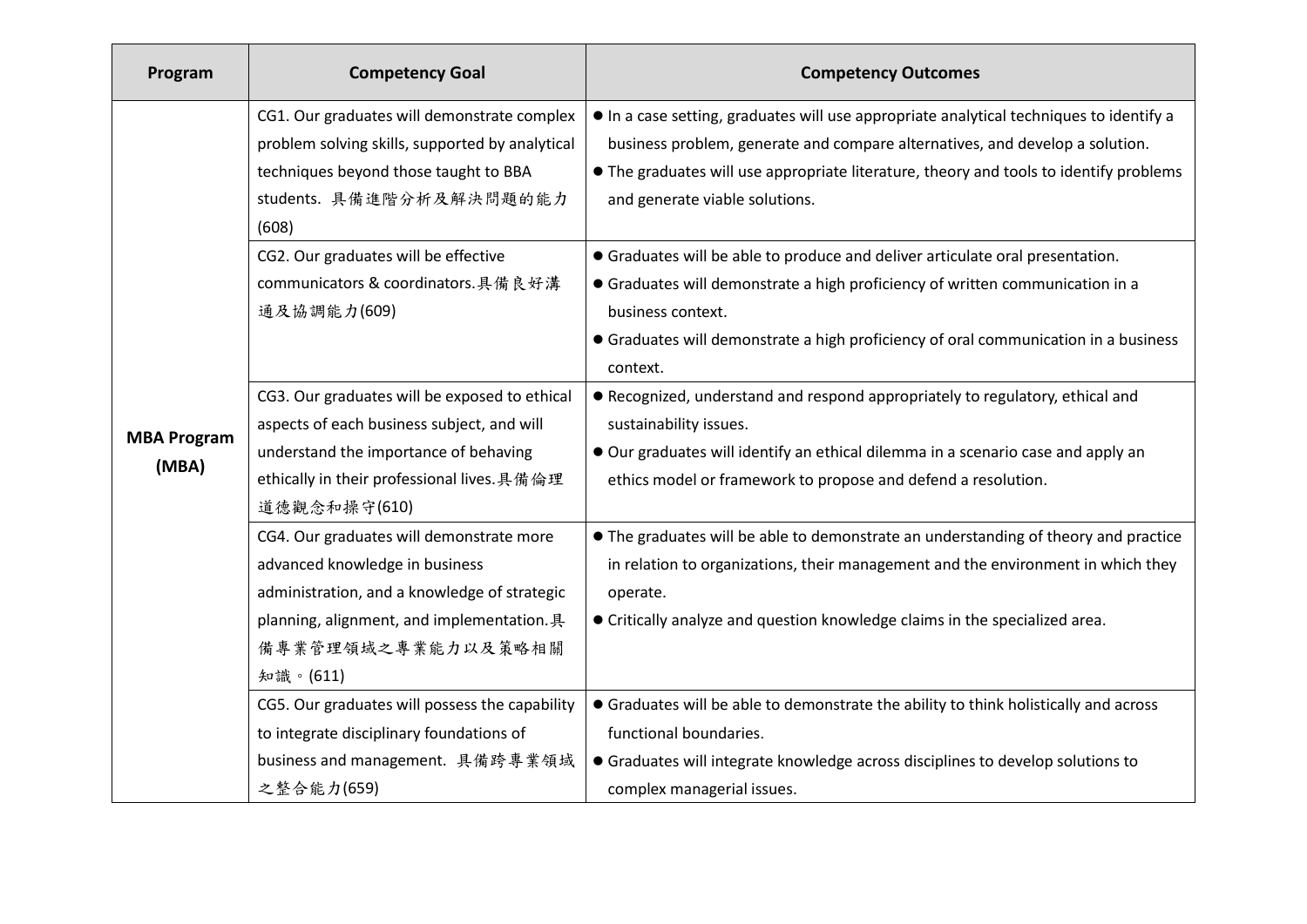| Program            | <b>Competency Goal</b>                          | <b>Competency Outcomes</b>                                                             |
|--------------------|-------------------------------------------------|----------------------------------------------------------------------------------------|
|                    | CG1. Our graduates will demonstrate complex     | In a case setting, graduates will use appropriate analytical techniques to identify a  |
|                    | problem solving skills, supported by analytical | business problem, generate and compare alternatives, and develop a solution.           |
|                    | techniques beyond those taught to BBA           | • The graduates will use appropriate literature, theory and tools to identify problems |
|                    | students. 具備進階分析及解決問題的能力                        | and generate viable solutions.                                                         |
|                    | (608)                                           |                                                                                        |
|                    | CG2. Our graduates will be effective            | • Graduates will be able to produce and deliver articulate oral presentation.          |
|                    | communicators & coordinators.具備良好溝              | • Graduates will demonstrate a high proficiency of written communication in a          |
|                    | 通及協調能力(609)                                     | business context.                                                                      |
|                    |                                                 | • Graduates will demonstrate a high proficiency of oral communication in a business    |
|                    |                                                 | context.                                                                               |
|                    | CG3. Our graduates will be exposed to ethical   | • Recognized, understand and respond appropriately to regulatory, ethical and          |
| <b>MBA Program</b> | aspects of each business subject, and will      | sustainability issues.                                                                 |
| (MBA)              | understand the importance of behaving           | Our graduates will identify an ethical dilemma in a scenario case and apply an         |
|                    | ethically in their professional lives. 具備倫理     | ethics model or framework to propose and defend a resolution.                          |
|                    | 道德觀念和操守(610)                                    |                                                                                        |
|                    | CG4. Our graduates will demonstrate more        | • The graduates will be able to demonstrate an understanding of theory and practice    |
|                    | advanced knowledge in business                  | in relation to organizations, their management and the environment in which they       |
|                    | administration, and a knowledge of strategic    | operate.                                                                               |
|                    | planning, alignment, and implementation. 具      | • Critically analyze and question knowledge claims in the specialized area.            |
|                    | 備專業管理領域之專業能力以及策略相關                              |                                                                                        |
|                    | 知識。(611)                                        |                                                                                        |
|                    | CG5. Our graduates will possess the capability  | • Graduates will be able to demonstrate the ability to think holistically and across   |
|                    | to integrate disciplinary foundations of        | functional boundaries.                                                                 |
|                    | business and management. 具備跨專業領域                | • Graduates will integrate knowledge across disciplines to develop solutions to        |
|                    | 之整合能力(659)                                      | complex managerial issues.                                                             |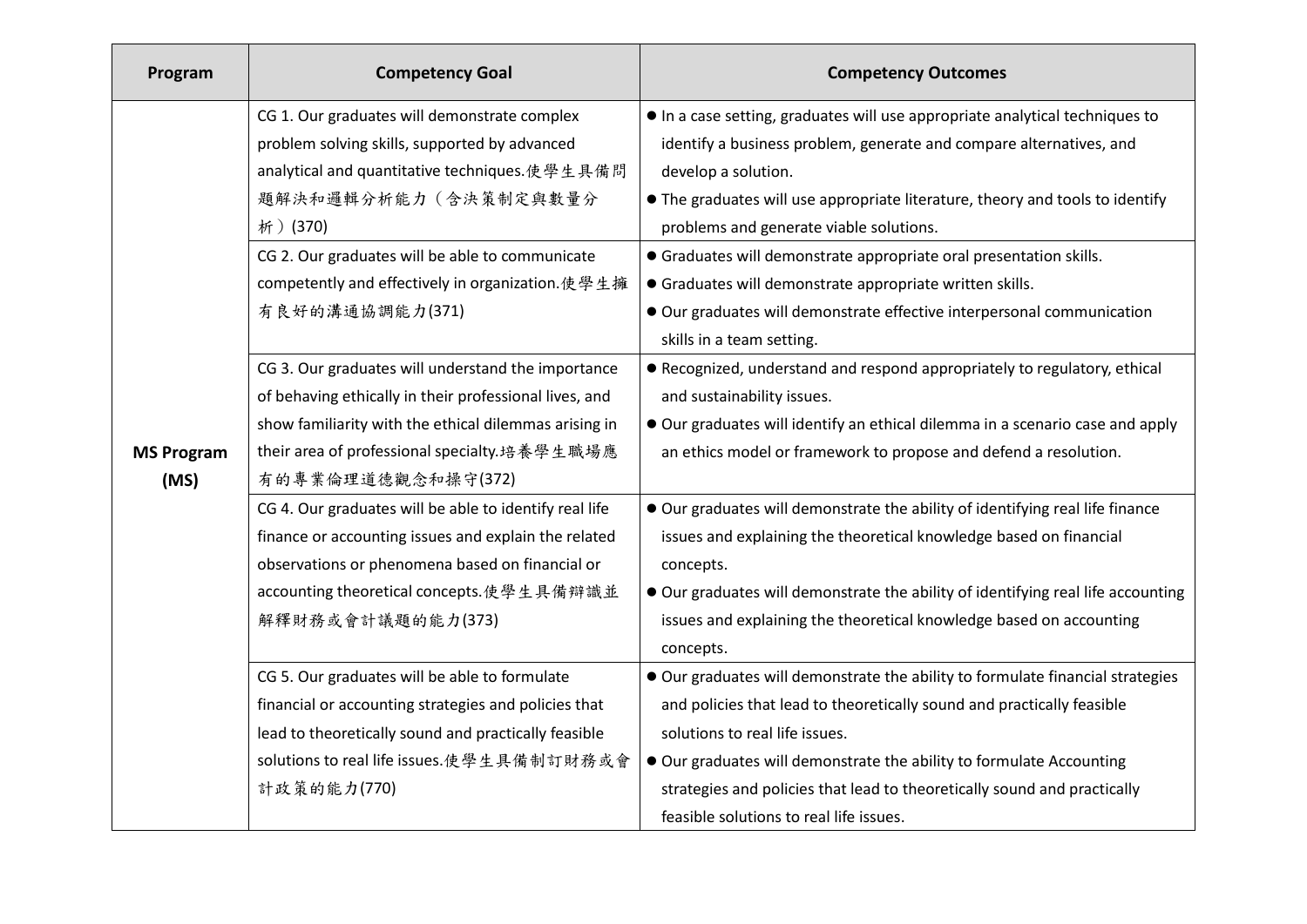| Program                   | <b>Competency Goal</b>                                                                                                                                                                                                                                                                                        | <b>Competency Outcomes</b>                                                                                                                                                                                                                                                                                                                                                                                                                                                                                                                  |
|---------------------------|---------------------------------------------------------------------------------------------------------------------------------------------------------------------------------------------------------------------------------------------------------------------------------------------------------------|---------------------------------------------------------------------------------------------------------------------------------------------------------------------------------------------------------------------------------------------------------------------------------------------------------------------------------------------------------------------------------------------------------------------------------------------------------------------------------------------------------------------------------------------|
| <b>MS Program</b><br>(MS) | CG 1. Our graduates will demonstrate complex<br>problem solving skills, supported by advanced<br>analytical and quantitative techniques.使學生具備問<br>題解決和邏輯分析能力(含決策制定與數量分<br>析) (370)<br>CG 2. Our graduates will be able to communicate<br>competently and effectively in organization. 使學生擁<br>有良好的溝通協調能力(371) | In a case setting, graduates will use appropriate analytical techniques to<br>identify a business problem, generate and compare alternatives, and<br>develop a solution.<br>• The graduates will use appropriate literature, theory and tools to identify<br>problems and generate viable solutions.<br>• Graduates will demonstrate appropriate oral presentation skills.<br>• Graduates will demonstrate appropriate written skills.<br>Our graduates will demonstrate effective interpersonal communication<br>skills in a team setting. |
|                           | CG 3. Our graduates will understand the importance<br>of behaving ethically in their professional lives, and<br>show familiarity with the ethical dilemmas arising in<br>their area of professional specialty.培養學生職場應<br>有的專業倫理道德觀念和操守(372)                                                                   | • Recognized, understand and respond appropriately to regulatory, ethical<br>and sustainability issues.<br>Our graduates will identify an ethical dilemma in a scenario case and apply<br>an ethics model or framework to propose and defend a resolution.                                                                                                                                                                                                                                                                                  |
|                           | CG 4. Our graduates will be able to identify real life<br>finance or accounting issues and explain the related<br>observations or phenomena based on financial or<br>accounting theoretical concepts.使學生具備辯識並<br>解釋財務或會計議題的能力(373)                                                                            | Our graduates will demonstrate the ability of identifying real life finance<br>issues and explaining the theoretical knowledge based on financial<br>concepts.<br>• Our graduates will demonstrate the ability of identifying real life accounting<br>issues and explaining the theoretical knowledge based on accounting<br>concepts.                                                                                                                                                                                                      |
|                           | CG 5. Our graduates will be able to formulate<br>financial or accounting strategies and policies that<br>lead to theoretically sound and practically feasible<br>solutions to real life issues.使學生具備制訂財務或會<br>計政策的能力(770)                                                                                     | • Our graduates will demonstrate the ability to formulate financial strategies<br>and policies that lead to theoretically sound and practically feasible<br>solutions to real life issues.<br>Our graduates will demonstrate the ability to formulate Accounting<br>strategies and policies that lead to theoretically sound and practically<br>feasible solutions to real life issues.                                                                                                                                                     |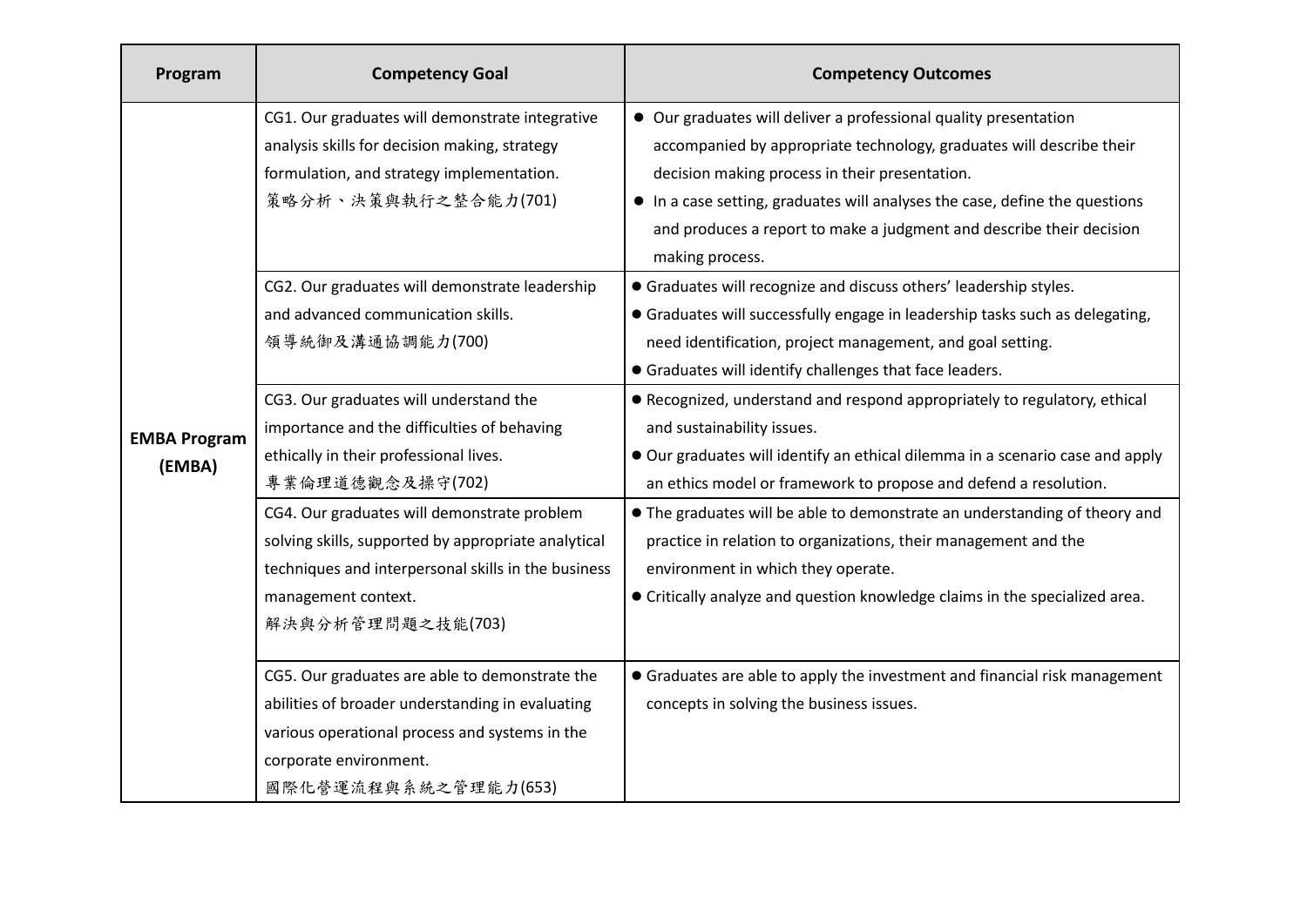| Program                       | <b>Competency Goal</b>                                                                                                                                                                                 | <b>Competency Outcomes</b>                                                                                                                                                                                                                                                                                                                                           |
|-------------------------------|--------------------------------------------------------------------------------------------------------------------------------------------------------------------------------------------------------|----------------------------------------------------------------------------------------------------------------------------------------------------------------------------------------------------------------------------------------------------------------------------------------------------------------------------------------------------------------------|
| <b>EMBA Program</b><br>(EMBA) | CG1. Our graduates will demonstrate integrative<br>analysis skills for decision making, strategy<br>formulation, and strategy implementation.<br>策略分析、決策與執行之整合能力(701)                                  | • Our graduates will deliver a professional quality presentation<br>accompanied by appropriate technology, graduates will describe their<br>decision making process in their presentation.<br>• In a case setting, graduates will analyses the case, define the questions<br>and produces a report to make a judgment and describe their decision<br>making process. |
|                               | CG2. Our graduates will demonstrate leadership<br>and advanced communication skills.<br>領導統御及溝通協調能力(700)                                                                                               | • Graduates will recognize and discuss others' leadership styles.<br>• Graduates will successfully engage in leadership tasks such as delegating,<br>need identification, project management, and goal setting.<br>• Graduates will identify challenges that face leaders.                                                                                           |
|                               | CG3. Our graduates will understand the<br>importance and the difficulties of behaving<br>ethically in their professional lives.<br>專業倫理道德觀念及操守(702)                                                    | • Recognized, understand and respond appropriately to regulatory, ethical<br>and sustainability issues.<br>• Our graduates will identify an ethical dilemma in a scenario case and apply<br>an ethics model or framework to propose and defend a resolution.                                                                                                         |
|                               | CG4. Our graduates will demonstrate problem<br>solving skills, supported by appropriate analytical<br>techniques and interpersonal skills in the business<br>management context.<br>解決與分析管理問題之技能(703)  | • The graduates will be able to demonstrate an understanding of theory and<br>practice in relation to organizations, their management and the<br>environment in which they operate.<br>• Critically analyze and question knowledge claims in the specialized area.                                                                                                   |
|                               | CG5. Our graduates are able to demonstrate the<br>abilities of broader understanding in evaluating<br>various operational process and systems in the<br>corporate environment.<br>國際化營運流程與系統之管理能力(653) | • Graduates are able to apply the investment and financial risk management<br>concepts in solving the business issues.                                                                                                                                                                                                                                               |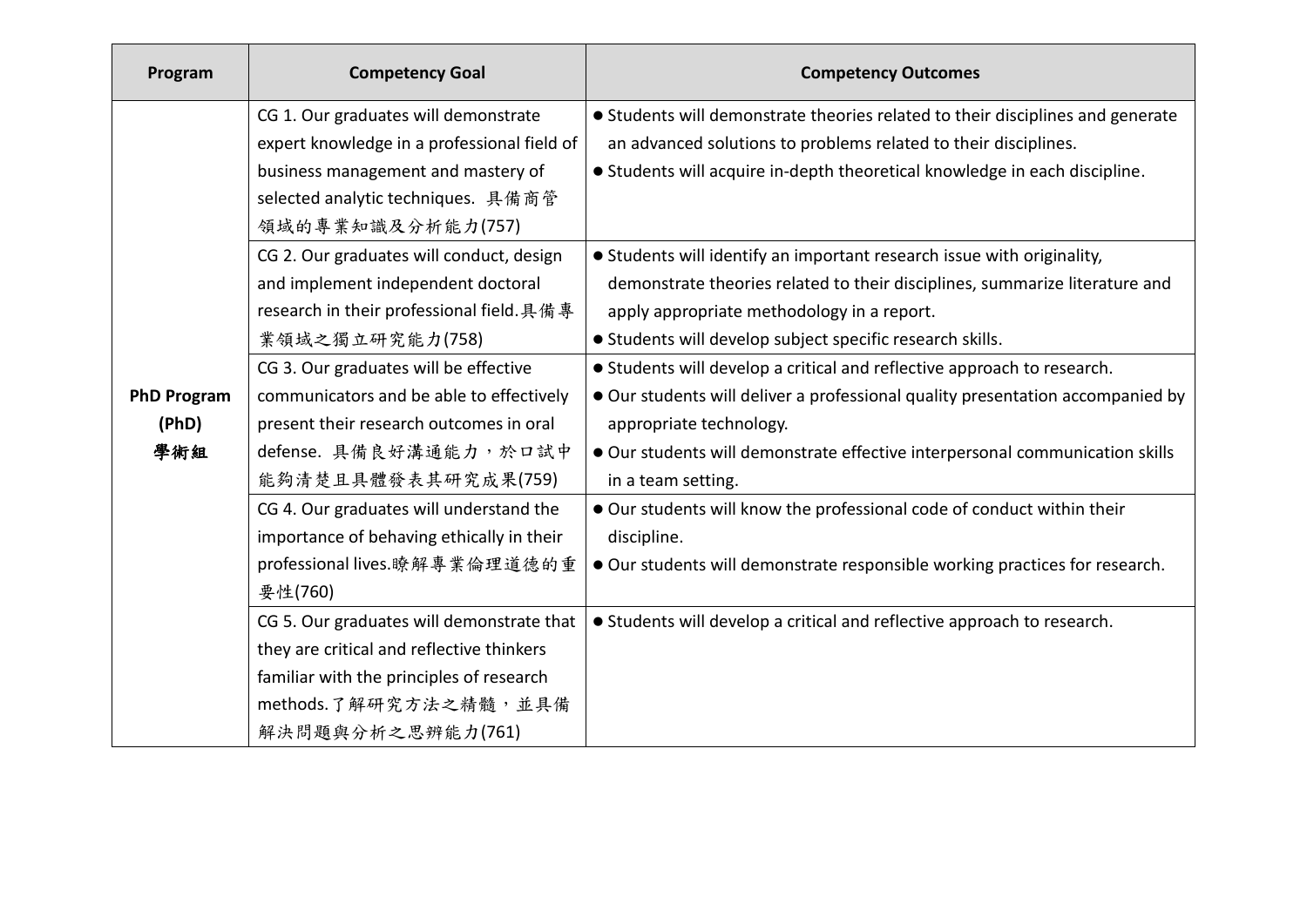| Program            | <b>Competency Goal</b>                      | <b>Competency Outcomes</b>                                                     |
|--------------------|---------------------------------------------|--------------------------------------------------------------------------------|
|                    | CG 1. Our graduates will demonstrate        | • Students will demonstrate theories related to their disciplines and generate |
|                    | expert knowledge in a professional field of | an advanced solutions to problems related to their disciplines.                |
|                    | business management and mastery of          | • Students will acquire in-depth theoretical knowledge in each discipline.     |
|                    | selected analytic techniques. 具備商管          |                                                                                |
|                    | 領域的專業知識及分析能力(757)                           |                                                                                |
|                    | CG 2. Our graduates will conduct, design    | • Students will identify an important research issue with originality,         |
|                    | and implement independent doctoral          | demonstrate theories related to their disciplines, summarize literature and    |
|                    | research in their professional field. 具備專   | apply appropriate methodology in a report.                                     |
|                    | 業領域之獨立研究能力(758)                             | • Students will develop subject specific research skills.                      |
|                    | CG 3. Our graduates will be effective       | • Students will develop a critical and reflective approach to research.        |
| <b>PhD Program</b> | communicators and be able to effectively    | • Our students will deliver a professional quality presentation accompanied by |
| (PhD)              | present their research outcomes in oral     | appropriate technology.                                                        |
| 學術組                | defense. 具備良好溝通能力,於口試中                      | • Our students will demonstrate effective interpersonal communication skills   |
|                    | 能夠清楚且具體發表其研究成果(759)                         | in a team setting.                                                             |
|                    | CG 4. Our graduates will understand the     | . Our students will know the professional code of conduct within their         |
|                    | importance of behaving ethically in their   | discipline.                                                                    |
|                    | professional lives.瞭解專業倫理道德的重               | • Our students will demonstrate responsible working practices for research.    |
|                    | 要性(760)                                     |                                                                                |
|                    | CG 5. Our graduates will demonstrate that   | • Students will develop a critical and reflective approach to research.        |
|                    | they are critical and reflective thinkers   |                                                                                |
|                    | familiar with the principles of research    |                                                                                |
|                    | methods.了解研究方法之精髓,並具備                       |                                                                                |
|                    | 解決問題與分析之思辨能力(761)                           |                                                                                |